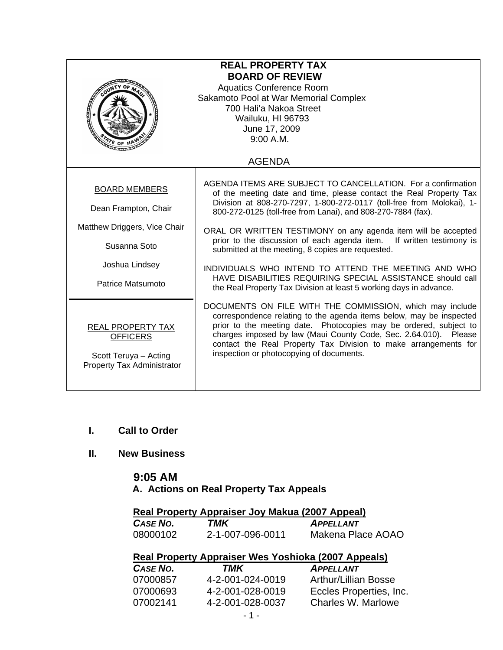| <b>REAL PROPERTY TAX</b><br><b>BOARD OF REVIEW</b><br><b>Aquatics Conference Room</b><br>Sakamoto Pool at War Memorial Complex<br>700 Hali'a Nakoa Street<br>Wailuku, HI 96793<br>June 17, 2009<br>9:00 A.M.<br>$\frac{1}{2}$ E OF 1<br><b>AGENDA</b> |                                                                                                                                                                                                                                                                                                                                                                                         |  |
|-------------------------------------------------------------------------------------------------------------------------------------------------------------------------------------------------------------------------------------------------------|-----------------------------------------------------------------------------------------------------------------------------------------------------------------------------------------------------------------------------------------------------------------------------------------------------------------------------------------------------------------------------------------|--|
|                                                                                                                                                                                                                                                       |                                                                                                                                                                                                                                                                                                                                                                                         |  |
| <b>BOARD MEMBERS</b><br>Dean Frampton, Chair                                                                                                                                                                                                          | AGENDA ITEMS ARE SUBJECT TO CANCELLATION. For a confirmation<br>of the meeting date and time, please contact the Real Property Tax<br>Division at 808-270-7297, 1-800-272-0117 (toll-free from Molokai), 1-<br>800-272-0125 (toll-free from Lanai), and 808-270-7884 (fax).                                                                                                             |  |
| Matthew Driggers, Vice Chair<br>Susanna Soto                                                                                                                                                                                                          | ORAL OR WRITTEN TESTIMONY on any agenda item will be accepted<br>prior to the discussion of each agenda item. If written testimony is<br>submitted at the meeting, 8 copies are requested.                                                                                                                                                                                              |  |
| Joshua Lindsey<br>Patrice Matsumoto                                                                                                                                                                                                                   | INDIVIDUALS WHO INTEND TO ATTEND THE MEETING AND WHO<br>HAVE DISABILITIES REQUIRING SPECIAL ASSISTANCE should call<br>the Real Property Tax Division at least 5 working days in advance.                                                                                                                                                                                                |  |
| REAL PROPERTY TAX<br><b>OFFICERS</b><br>Scott Teruya - Acting<br>Property Tax Administrator                                                                                                                                                           | DOCUMENTS ON FILE WITH THE COMMISSION, which may include<br>correspondence relating to the agenda items below, may be inspected<br>prior to the meeting date. Photocopies may be ordered, subject to<br>charges imposed by law (Maui County Code, Sec. 2.64.010). Please<br>contact the Real Property Tax Division to make arrangements for<br>inspection or photocopying of documents. |  |

- **I. Call to Order**
- **II. New Business**

## **9:05 AM A. Actions on Real Property Tax Appeals**

### **Real Property Appraiser Joy Makua (2007 Appeal)**

| <b>CASE NO.</b> | TMK              | <b>APPELLANT</b>  |
|-----------------|------------------|-------------------|
| 08000102        | 2-1-007-096-0011 | Makena Place AOAO |

# **Real Property Appraiser Wes Yoshioka (2007 Appeals)**

| <b>CASE NO.</b> | TMK              | <b>APPELLANT</b>        |
|-----------------|------------------|-------------------------|
| 07000857        | 4-2-001-024-0019 | Arthur/Lillian Bosse    |
| 07000693        | 4-2-001-028-0019 | Eccles Properties, Inc. |
| 07002141        | 4-2-001-028-0037 | Charles W. Marlowe      |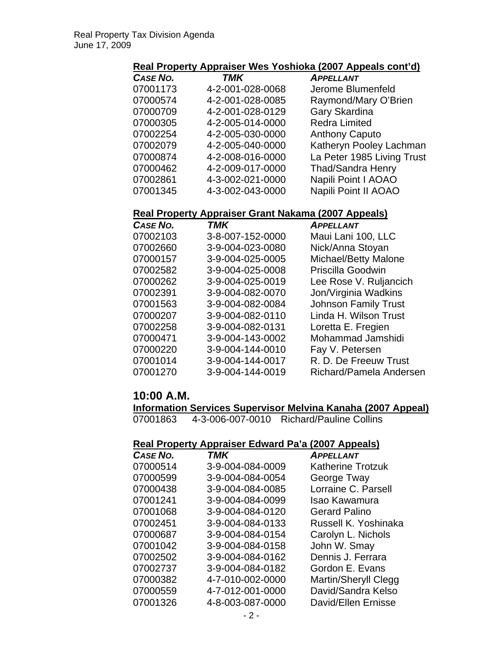#### **Real Property Appraiser Wes Yoshioka (2007 Appeals cont'd)**

| CASE NO. | <b>TMK</b>       | <b>APPELLANT</b>           |
|----------|------------------|----------------------------|
| 07001173 | 4-2-001-028-0068 | Jerome Blumenfeld          |
| 07000574 | 4-2-001-028-0085 | Raymond/Mary O'Brien       |
| 07000709 | 4-2-001-028-0129 | Gary Skardina              |
| 07000305 | 4-2-005-014-0000 | <b>Redra Limited</b>       |
| 07002254 | 4-2-005-030-0000 | <b>Anthony Caputo</b>      |
| 07002079 | 4-2-005-040-0000 | Katheryn Pooley Lachman    |
| 07000874 | 4-2-008-016-0000 | La Peter 1985 Living Trust |
| 07000462 | 4-2-009-017-0000 | <b>Thad/Sandra Henry</b>   |
| 07002861 | 4-3-002-021-0000 | Napili Point I AOAO        |
| 07001345 | 4-3-002-043-0000 | Napili Point II AOAO       |

### **Real Property Appraiser Grant Nakama (2007 Appeals)**

| <b>CASE NO.</b> | TMK              | <b>APPELLANT</b>            |
|-----------------|------------------|-----------------------------|
| 07002103        | 3-8-007-152-0000 | Maui Lani 100, LLC          |
| 07002660        | 3-9-004-023-0080 | Nick/Anna Stoyan            |
| 07000157        | 3-9-004-025-0005 | Michael/Betty Malone        |
| 07002582        | 3-9-004-025-0008 | Priscilla Goodwin           |
| 07000262        | 3-9-004-025-0019 | Lee Rose V. Ruljancich      |
| 07002391        | 3-9-004-082-0070 | Jon/Virginia Wadkins        |
| 07001563        | 3-9-004-082-0084 | <b>Johnson Family Trust</b> |
| 07000207        | 3-9-004-082-0110 | Linda H. Wilson Trust       |
| 07002258        | 3-9-004-082-0131 | Loretta E. Fregien          |
| 07000471        | 3-9-004-143-0002 | Mohammad Jamshidi           |
| 07000220        | 3-9-004-144-0010 | Fay V. Petersen             |
| 07001014        | 3-9-004-144-0017 | R. D. De Freeuw Trust       |
| 07001270        | 3-9-004-144-0019 | Richard/Pamela Andersen     |

#### **10:00 A.M.**

**Information Services Supervisor Melvina Kanaha (2007 Appeal)**

07001863 4-3-006-007-0010 Richard/Pauline Collins

### **Real Property Appraiser Edward Pa'a (2007 Appeals)**

| CASE NO. | TMK              | <b>APPELLANT</b>            |
|----------|------------------|-----------------------------|
| 07000514 | 3-9-004-084-0009 | <b>Katherine Trotzuk</b>    |
| 07000599 | 3-9-004-084-0054 | George Tway                 |
| 07000438 | 3-9-004-084-0085 | Lorraine C. Parsell         |
| 07001241 | 3-9-004-084-0099 | Isao Kawamura               |
| 07001068 | 3-9-004-084-0120 | <b>Gerard Palino</b>        |
| 07002451 | 3-9-004-084-0133 | Russell K. Yoshinaka        |
| 07000687 | 3-9-004-084-0154 | Carolyn L. Nichols          |
| 07001042 | 3-9-004-084-0158 | John W. Smay                |
| 07002502 | 3-9-004-084-0162 | Dennis J. Ferrara           |
| 07002737 | 3-9-004-084-0182 | Gordon E. Evans             |
| 07000382 | 4-7-010-002-0000 | <b>Martin/Sheryll Clegg</b> |
| 07000559 | 4-7-012-001-0000 | David/Sandra Kelso          |
| 07001326 | 4-8-003-087-0000 | David/Ellen Ernisse         |